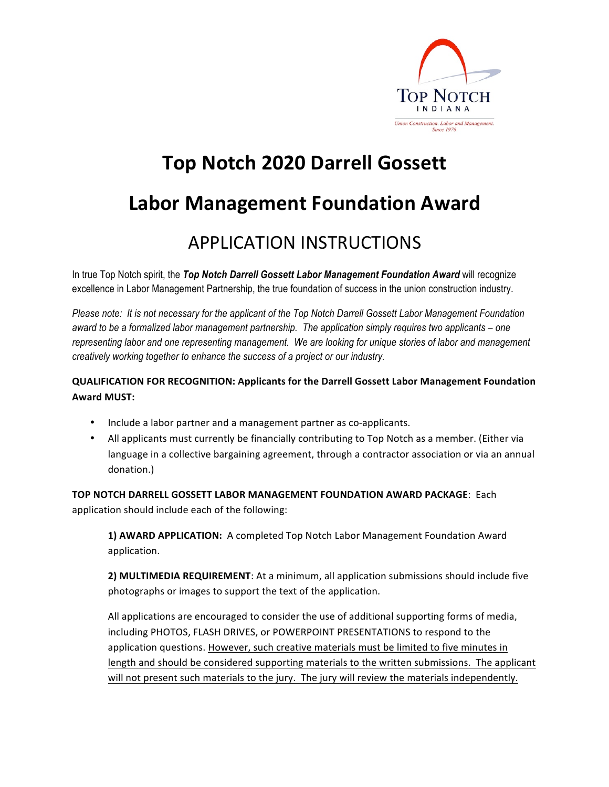

## **Top Notch 2020 Darrell Gossett**

### **Labor Management Foundation Award**

### **APPLICATION INSTRUCTIONS**

In true Top Notch spirit, the *Top Notch Darrell Gossett Labor Management Foundation Award* will recognize excellence in Labor Management Partnership, the true foundation of success in the union construction industry.

*Please note: It is not necessary for the applicant of the Top Notch Darrell Gossett Labor Management Foundation award to be a formalized labor management partnership. The application simply requires two applicants – one representing labor and one representing management. We are looking for unique stories of labor and management creatively working together to enhance the success of a project or our industry.*

#### **QUALIFICATION FOR RECOGNITION: Applicants for the Darrell Gossett Labor Management Foundation Award MUST:**

- Include a labor partner and a management partner as co-applicants.
- All applicants must currently be financially contributing to Top Notch as a member. (Either via language in a collective bargaining agreement, through a contractor association or via an annual donation.)

**TOP NOTCH DARRELL GOSSETT LABOR MANAGEMENT FOUNDATION AWARD PACKAGE: Each** application should include each of the following:

**1) AWARD APPLICATION:** A completed Top Notch Labor Management Foundation Award application.

**2) MULTIMEDIA REQUIREMENT**: At a minimum, all application submissions should include five photographs or images to support the text of the application.

All applications are encouraged to consider the use of additional supporting forms of media, including PHOTOS, FLASH DRIVES, or POWERPOINT PRESENTATIONS to respond to the application questions. However, such creative materials must be limited to five minutes in length and should be considered supporting materials to the written submissions. The applicant will not present such materials to the jury. The jury will review the materials independently.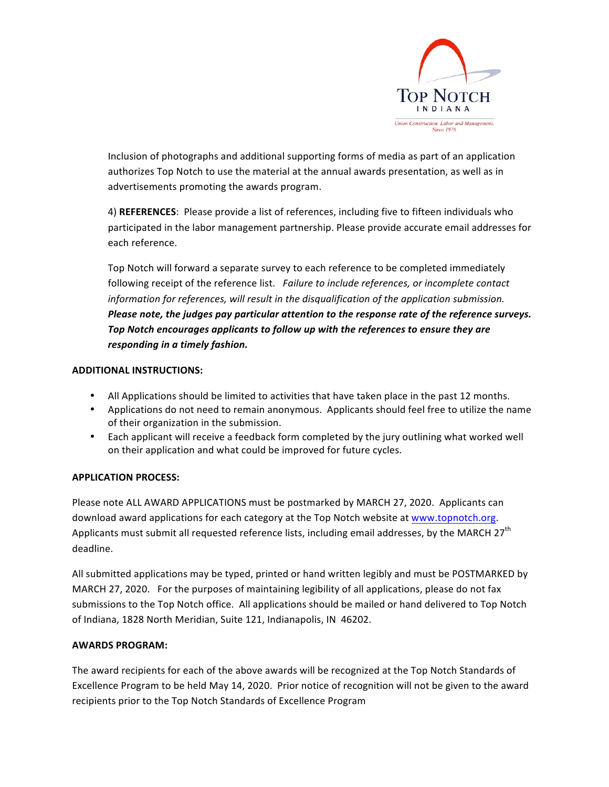

Inclusion of photographs and additional supporting forms of media as part of an application authorizes Top Notch to use the material at the annual awards presentation, as well as in advertisements promoting the awards program.

4) REFERENCES: Please provide a list of references, including five to fifteen individuals who participated in the labor management partnership. Please provide accurate email addresses for each reference.

Top Notch will forward a separate survey to each reference to be completed immediately following receipt of the reference list. Failure to include references, or incomplete contact *information for references, will result in the disqualification of the application submission. Please note, the judges pay particular attention to the response rate of the reference surveys.* Top Notch encourages applicants to follow up with the references to ensure they are *responding in a timely fashion.* 

#### **ADDITIONAL INSTRUCTIONS:**

- All Applications should be limited to activities that have taken place in the past 12 months.
- Applications do not need to remain anonymous. Applicants should feel free to utilize the name of their organization in the submission.
- Each applicant will receive a feedback form completed by the jury outlining what worked well on their application and what could be improved for future cycles.

#### **APPLICATION PROCESS:**

Please note ALL AWARD APPLICATIONS must be postmarked by MARCH 27, 2020. Applicants can download award applications for each category at the Top Notch website at www.topnotch.org. Applicants must submit all requested reference lists, including email addresses, by the MARCH  $27<sup>th</sup>$ deadline. 

All submitted applications may be typed, printed or hand written legibly and must be POSTMARKED by MARCH 27, 2020. For the purposes of maintaining legibility of all applications, please do not fax submissions to the Top Notch office. All applications should be mailed or hand delivered to Top Notch of Indiana, 1828 North Meridian, Suite 121, Indianapolis, IN 46202.

#### **AWARDS PROGRAM:**

The award recipients for each of the above awards will be recognized at the Top Notch Standards of Excellence Program to be held May 14, 2020. Prior notice of recognition will not be given to the award recipients prior to the Top Notch Standards of Excellence Program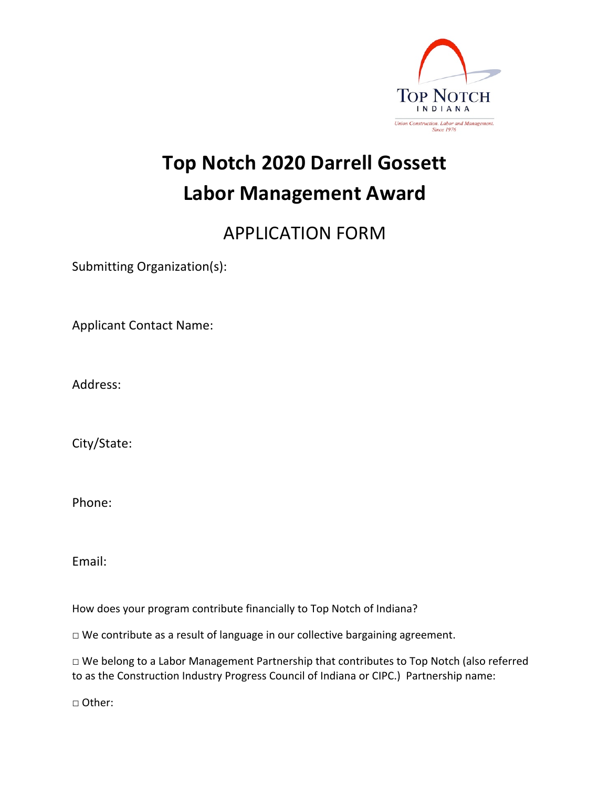

## **Top Notch 2020 Darrell Gossett Labor Management Award**

### **APPLICATION FORM**

Submitting Organization(s):

Applicant Contact Name:

Address:

City/State:

Phone:

Email:

How does your program contribute financially to Top Notch of Indiana?

 $\square$  We contribute as a result of language in our collective bargaining agreement.

 $\Box$  We belong to a Labor Management Partnership that contributes to Top Notch (also referred to as the Construction Industry Progress Council of Indiana or CIPC.) Partnership name:

□ Other: